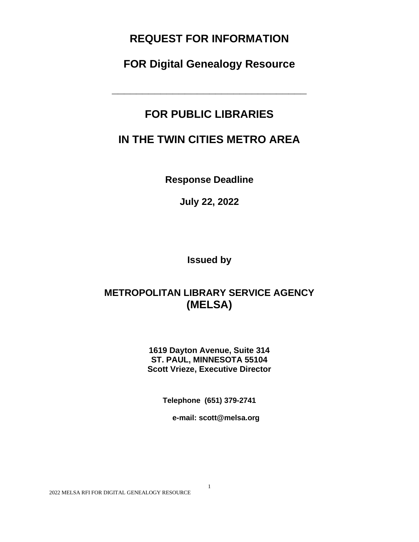# **REQUEST FOR INFORMATION**

**FOR Digital Genealogy Resource**

**\_\_\_\_\_\_\_\_\_\_\_\_\_\_\_\_\_\_\_\_\_\_\_\_\_\_\_\_\_\_\_\_**

# **FOR PUBLIC LIBRARIES**

# **IN THE TWIN CITIES METRO AREA**

**Response Deadline**

**July 22, 2022**

**Issued by**

# **METROPOLITAN LIBRARY SERVICE AGENCY (MELSA)**

**1619 Dayton Avenue, Suite 314 ST. PAUL, MINNESOTA 55104 Scott Vrieze, Executive Director**

**Telephone (651) 379-2741**

1

**e-mail: scott@melsa.org**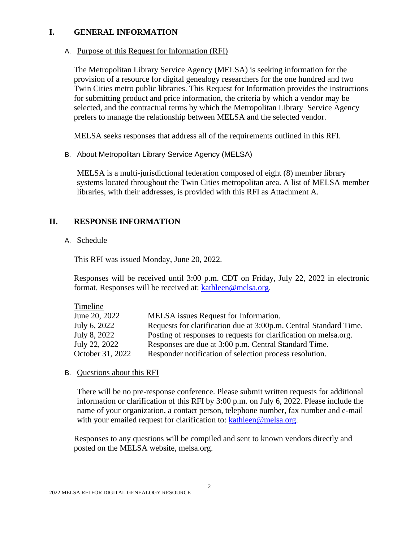## **I. GENERAL INFORMATION**

## A. Purpose of this Request for Information (RFI)

The Metropolitan Library Service Agency (MELSA) is seeking information for the provision of a resource for digital genealogy researchers for the one hundred and two Twin Cities metro public libraries. This Request for Information provides the instructions for submitting product and price information, the criteria by which a vendor may be selected, and the contractual terms by which the Metropolitan Library Service Agency prefers to manage the relationship between MELSA and the selected vendor.

MELSA seeks responses that address all of the requirements outlined in this RFI.

## B. About Metropolitan Library Service Agency (MELSA)

MELSA is a multi-jurisdictional federation composed of eight (8) member library systems located throughout the Twin Cities metropolitan area. A list of MELSA member libraries, with their addresses, is provided with this RFI as Attachment A.

## **II. RESPONSE INFORMATION**

## A. Schedule

This RFI was issued Monday, June 20, 2022.

Responses will be received until 3:00 p.m. CDT on Friday, July 22, 2022 in electronic format. Responses will be received at: [kathleen@melsa.org.](mailto:kathleen@melsa.org)

| Timeline         |                                                                   |
|------------------|-------------------------------------------------------------------|
| June 20, 2022    | MELSA issues Request for Information.                             |
| July 6, 2022     | Requests for clarification due at 3:00p.m. Central Standard Time. |
| July 8, 2022     | Posting of responses to requests for clarification on melsa.org.  |
| July 22, 2022    | Responses are due at 3:00 p.m. Central Standard Time.             |
| October 31, 2022 | Responder notification of selection process resolution.           |

## B. Questions about this RFI

There will be no pre-response conference. Please submit written requests for additional information or clarification of this RFI by 3:00 p.m. on July 6, 2022. Please include the name of your organization, a contact person, telephone number, fax number and e-mail with your emailed request for clarification to: [kathleen@melsa.org.](mailto:kathleen@melsa.org)

Responses to any questions will be compiled and sent to known vendors directly and posted on the MELSA website, melsa.org.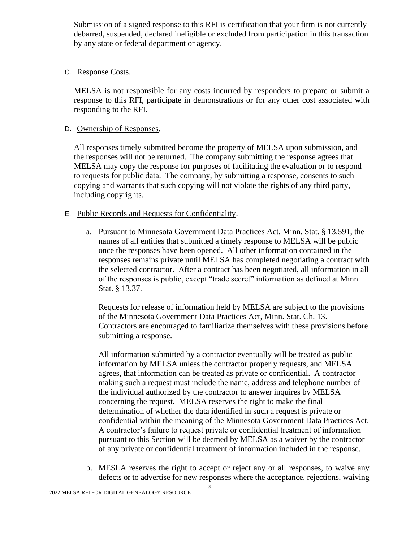Submission of a signed response to this RFI is certification that your firm is not currently debarred, suspended, declared ineligible or excluded from participation in this transaction by any state or federal department or agency.

## C. Response Costs.

MELSA is not responsible for any costs incurred by responders to prepare or submit a response to this RFI, participate in demonstrations or for any other cost associated with responding to the RFI.

## D. Ownership of Responses.

All responses timely submitted become the property of MELSA upon submission, and the responses will not be returned. The company submitting the response agrees that MELSA may copy the response for purposes of facilitating the evaluation or to respond to requests for public data. The company, by submitting a response, consents to such copying and warrants that such copying will not violate the rights of any third party, including copyrights.

## E. Public Records and Requests for Confidentiality.

a. Pursuant to Minnesota Government Data Practices Act, Minn. Stat. § 13.591, the names of all entities that submitted a timely response to MELSA will be public once the responses have been opened. All other information contained in the responses remains private until MELSA has completed negotiating a contract with the selected contractor. After a contract has been negotiated, all information in all of the responses is public, except "trade secret" information as defined at Minn. Stat. § 13.37.

Requests for release of information held by MELSA are subject to the provisions of the Minnesota Government Data Practices Act, Minn. Stat. Ch. 13. Contractors are encouraged to familiarize themselves with these provisions before submitting a response.

All information submitted by a contractor eventually will be treated as public information by MELSA unless the contractor properly requests, and MELSA agrees, that information can be treated as private or confidential. A contractor making such a request must include the name, address and telephone number of the individual authorized by the contractor to answer inquires by MELSA concerning the request. MELSA reserves the right to make the final determination of whether the data identified in such a request is private or confidential within the meaning of the Minnesota Government Data Practices Act. A contractor's failure to request private or confidential treatment of information pursuant to this Section will be deemed by MELSA as a waiver by the contractor of any private or confidential treatment of information included in the response.

b. MESLA reserves the right to accept or reject any or all responses, to waive any defects or to advertise for new responses where the acceptance, rejections, waiving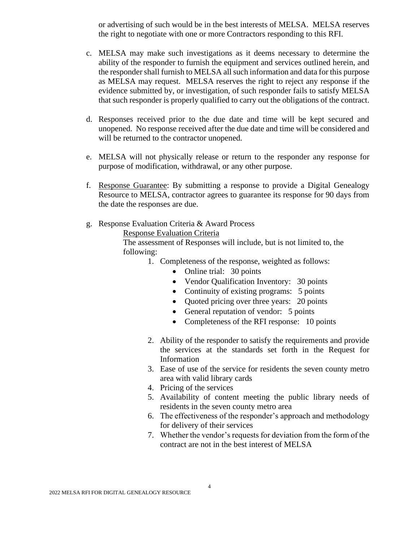or advertising of such would be in the best interests of MELSA. MELSA reserves the right to negotiate with one or more Contractors responding to this RFI.

- c. MELSA may make such investigations as it deems necessary to determine the ability of the responder to furnish the equipment and services outlined herein, and the responder shall furnish to MELSA all such information and data for this purpose as MELSA may request. MELSA reserves the right to reject any response if the evidence submitted by, or investigation, of such responder fails to satisfy MELSA that such responder is properly qualified to carry out the obligations of the contract.
- d. Responses received prior to the due date and time will be kept secured and unopened. No response received after the due date and time will be considered and will be returned to the contractor unopened.
- e. MELSA will not physically release or return to the responder any response for purpose of modification, withdrawal, or any other purpose.
- f. Response Guarantee: By submitting a response to provide a Digital Genealogy Resource to MELSA, contractor agrees to guarantee its response for 90 days from the date the responses are due.
- g. Response Evaluation Criteria & Award Process

Response Evaluation Criteria

The assessment of Responses will include, but is not limited to, the following:

- 1. Completeness of the response, weighted as follows:
	- Online trial: 30 points
	- Vendor Qualification Inventory: 30 points
	- Continuity of existing programs: 5 points
	- Quoted pricing over three years: 20 points
	- General reputation of vendor: 5 points
	- Completeness of the RFI response: 10 points
- 2. Ability of the responder to satisfy the requirements and provide the services at the standards set forth in the Request for Information
- 3. Ease of use of the service for residents the seven county metro area with valid library cards
- 4. Pricing of the services
- 5. Availability of content meeting the public library needs of residents in the seven county metro area
- 6. The effectiveness of the responder's approach and methodology for delivery of their services
- 7. Whether the vendor's requests for deviation from the form of the contract are not in the best interest of MELSA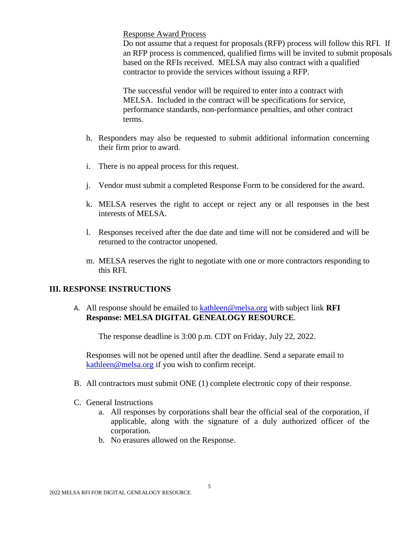Response Award Process

Do not assume that a request for proposals (RFP) process will follow this RFI. If an RFP process is commenced, qualified firms will be invited to submit proposals based on the RFIs received. MELSA may also contract with a qualified contractor to provide the services without issuing a RFP.

The successful vendor will be required to enter into a contract with MELSA. Included in the contract will be specifications for service, performance standards, non-performance penalties, and other contract terms.

- h. Responders may also be requested to submit additional information concerning their firm prior to award.
- i. There is no appeal process for this request.
- j. Vendor must submit a completed Response Form to be considered for the award.
- k. MELSA reserves the right to accept or reject any or all responses in the best interests of MELSA.
- l. Responses received after the due date and time will not be considered and will be returned to the contractor unopened.
- m. MELSA reserves the right to negotiate with one or more contractors responding to this RFI.

## **III. RESPONSE INSTRUCTIONS**

A. All response should be emailed to [kathleen@melsa.org](mailto:kathleen@melsa.org) with subject link **RFI Response: MELSA DIGITAL GENEALOGY RESOURCE**.

The response deadline is 3:00 p.m. CDT on Friday, July 22, 2022.

Responses will not be opened until after the deadline. Send a separate email to [kathleen@melsa.org](mailto:kathleen@melsa.org) if you wish to confirm receipt.

- B. All contractors must submit ONE (1) complete electronic copy of their response.
- C. General Instructions
	- a. All responses by corporations shall bear the official seal of the corporation, if applicable, along with the signature of a duly authorized officer of the corporation.
	- b. No erasures allowed on the Response.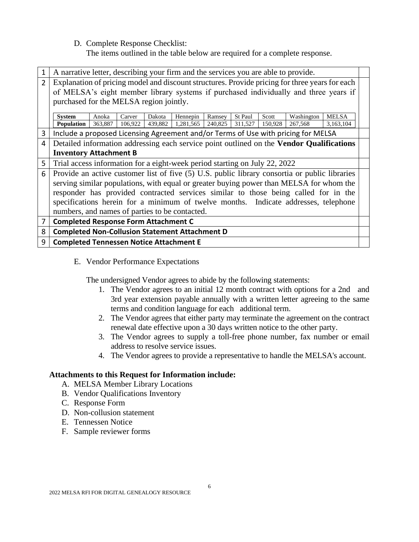D. Complete Response Checklist:

The items outlined in the table below are required for a complete response.

|                | A narrative letter, describing your firm and the services you are able to provide.             |                  |                   |                   |                       |                   |                    |                  |                                                                                          |                           |  |
|----------------|------------------------------------------------------------------------------------------------|------------------|-------------------|-------------------|-----------------------|-------------------|--------------------|------------------|------------------------------------------------------------------------------------------|---------------------------|--|
| $\overline{2}$ | Explanation of pricing model and discount structures. Provide pricing for three years for each |                  |                   |                   |                       |                   |                    |                  |                                                                                          |                           |  |
|                |                                                                                                |                  |                   |                   |                       |                   |                    |                  | of MELSA's eight member library systems if purchased individually and three years if     |                           |  |
|                | purchased for the MELSA region jointly.                                                        |                  |                   |                   |                       |                   |                    |                  |                                                                                          |                           |  |
|                |                                                                                                |                  |                   |                   |                       |                   |                    |                  |                                                                                          |                           |  |
|                | <b>System</b><br><b>Population</b>                                                             | Anoka<br>363,887 | Carver<br>106,922 | Dakota<br>439,882 | Hennepin<br>1,281,565 | Ramsey<br>240,825 | St Paul<br>311,527 | Scott<br>150,928 | Washington<br>267,568                                                                    | <b>MELSA</b><br>3,163,104 |  |
|                |                                                                                                |                  |                   |                   |                       |                   |                    |                  |                                                                                          |                           |  |
| 3              |                                                                                                |                  |                   |                   |                       |                   |                    |                  | Include a proposed Licensing Agreement and/or Terms of Use with pricing for MELSA        |                           |  |
| 4              |                                                                                                |                  |                   |                   |                       |                   |                    |                  | Detailed information addressing each service point outlined on the Vendor Qualifications |                           |  |
|                | <b>Inventory Attachment B</b>                                                                  |                  |                   |                   |                       |                   |                    |                  |                                                                                          |                           |  |
| 5              | Trial access information for a eight-week period starting on July 22, 2022                     |                  |                   |                   |                       |                   |                    |                  |                                                                                          |                           |  |
| 6              | Provide an active customer list of five (5) U.S. public library consortia or public libraries  |                  |                   |                   |                       |                   |                    |                  |                                                                                          |                           |  |
|                | serving similar populations, with equal or greater buying power than MELSA for whom the        |                  |                   |                   |                       |                   |                    |                  |                                                                                          |                           |  |
|                | responder has provided contracted services similar to those being called for in the            |                  |                   |                   |                       |                   |                    |                  |                                                                                          |                           |  |
|                |                                                                                                |                  |                   |                   |                       |                   |                    |                  |                                                                                          |                           |  |
|                | specifications herein for a minimum of twelve months. Indicate addresses, telephone            |                  |                   |                   |                       |                   |                    |                  |                                                                                          |                           |  |
|                | numbers, and names of parties to be contacted.                                                 |                  |                   |                   |                       |                   |                    |                  |                                                                                          |                           |  |
| 7              | <b>Completed Response Form Attachment C</b>                                                    |                  |                   |                   |                       |                   |                    |                  |                                                                                          |                           |  |
| 8              | <b>Completed Non-Collusion Statement Attachment D</b>                                          |                  |                   |                   |                       |                   |                    |                  |                                                                                          |                           |  |
| 9              | <b>Completed Tennessen Notice Attachment E</b>                                                 |                  |                   |                   |                       |                   |                    |                  |                                                                                          |                           |  |

E. Vendor Performance Expectations

The undersigned Vendor agrees to abide by the following statements:

- 1. The Vendor agrees to an initial 12 month contract with options for a 2nd and 3rd year extension payable annually with a written letter agreeing to the same terms and condition language for each additional term.
- 2. The Vendor agrees that either party may terminate the agreement on the contract renewal date effective upon a 30 days written notice to the other party.
- 3. The Vendor agrees to supply a toll-free phone number, fax number or email address to resolve service issues.
- 4. The Vendor agrees to provide a representative to handle the MELSA's account.

## **Attachments to this Request for Information include:**

- A. MELSA Member Library Locations
- B. Vendor Qualifications Inventory
- C. Response Form
- D. Non-collusion statement
- E. Tennessen Notice
- F. Sample reviewer forms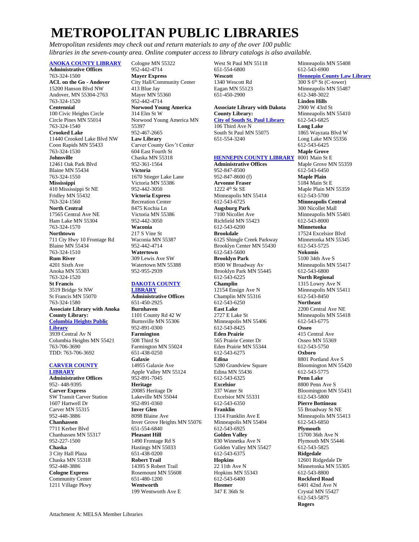# **METROPOLITAN PUBLIC LIBRARIES**

*Metropolitan residents may check out and return materials to any of the over 100 public libraries in the seven-county area. Online computer access to library catalogs is also available.*

### **[ANOKA COUNTY LIBRARY](http://www.anoka.lib.mn.us/)**

**Administrative Offices** 763-324-1500 **ACL on the Go - Andover** 15200 Hanson Blvd NW Andover, MN 55304-2763 763-324-1520 **Centennial** 100 Civic Heights Circle Circle Pines MN 55014 763-324-1540 **Crooked Lake** 11440 Crooked Lake Blvd NW Coon Rapids MN 55433 763-324-1530 **Johnsville** 12461 Oak Park Blvd Blaine MN 55434 763-324-1550 **Mississippi** 410 Mississippi St NE Fridley MN 55432 763-324-1560 **North Central** 17565 Central Ave NE Ham Lake MN 55304 763-324-1570 **Northtown**  711 Cty Hwy 10 Frontage Rd Blaine MN 55434 763-324-1510 **Rum River** 4201 Sixth Ave Anoka MN 55303 763-324-1520 **St Francis** 3519 Bridge St NW St Francis MN 55070 763-324-1580 **Associate Library with Anoka County Library: [Columbia Heights Public](https://www.columbiaheightsmn.gov/departments/library/)  [Library](https://www.columbiaheightsmn.gov/departments/library/)** 3939 Central Av N Columbia Heights MN 55421 763-706-3690 TDD: 763-706-3692

#### **[CARVER COUNTY](http://www.carverlib.org/)  [LIBRARY](http://www.carverlib.org/)**

**Administrative Offices** 952- 448-9395 **Carver Express** SW Transit Carver Station 1607 Hartwell Dr Carver MN 55315 952-448-3886 **Chanhassen** 7711 Kerber Blvd Chanhassen MN 55317 952-227-1500 **Chaska** 3 City Hall Plaza Chaska MN 55318 952-448-3886 **Cologne Express** Community Center 1211 Village Pkwy

Cologne MN 55322 952-442-4714 **Mayer Express** City Hall/Community Center 413 Blue Jay Mayer MN 55360 952-442-4714 **Norwood Young America** 314 Elm St W Norwood Young America MN 55397 952-467-2665 **Law Library** Carver County Gov't Center 604 East Fourth St Chaska MN 55318 952-361-1564 **Victoria** 1670 Stieger Lake Lane Victoria MN 55386 952-442-3050 **Victoria Express** Recreation Center 8475 Kochia Ln Victoria MN 55386 952-442-3050 **Waconia** 217 S Vine St Waconia MN 55387 952-442-4714 **Watertown** 309 Lewis Ave SW Watertown MN 55388

### **[DAKOTA COUNTY](http://www.co.dakota.mn.us/libraries)**

952-955-2939

**[LIBRARY](http://www.co.dakota.mn.us/libraries) Administrative Offices** 651-450-2925 **Burnhaven** 1101 County Rd 42 W Burnsville MN 55306 952-891-0300 **Farmington** 508 Third St Farmington MN 55024 651-438-0250 **Galaxie** 14955 Galaxie Ave Apple Valley MN 55124 952-891-7045 **Heritage** 20085 Heritage Dr Lakeville MN 55044 952-891-0360 **Inver Glen** 8098 Blaine Ave Inver Grove Heights MN 55076 651-554-6840 **Pleasant Hill** 1490 Frontage Rd S Hastings MN 55033 651-438-0200 **Robert Trail** 14395 S Robert Trail Rosemount MN 55608 651-480-1200 **Wentworth** 199 Wentworth Ave E

West St Paul MN 55118 651-554-6800 **Wescott** 1340 Wescott Rd Eagan MN 55123 651-450-2900

### **Associate Library with Dakota County Library: [City of South St. Paul Library](http://www.southstpaul.org/library)**

106 Third Ave N South St Paul MN 55075 651-554-3240

### **[HENNEPIN COUNTY LIBRARY](http://www.hclib.org/) Administrative Offices**

952-847-8500 952-847-8600 (f) **Arvonne Fraser**  1222 4th St SE Minneapolis MN 55414 612-543-6725 **Augsburg Park** 7100 Nicollet Ave Richfield MN 55423 612-543-6200 **Brookdale** 6125 Shingle Creek Parkway Brooklyn Center MN 55430 612-543-5600 **Brooklyn Park** 8500 W Broadway Av Brooklyn Park MN 55445 612-543-6225 **Champlin** 12154 Ensign Ave N Champlin MN 55316 612-543-6250 **East Lake** 2727 E Lake St Minneapolis MN 55406 612-543-8425 **Eden Prairie** 565 Prairie Center Dr Eden Prairie MN 55344 612-543-6275 **Edina** 5280 Grandview Square Edina MN 55436 612-543-6325 **Excelsior** 337 Water St Excelsior MN 55331 612-543-6350 **Franklin** 1314 Franklin Ave E Minneapolis MN 55404 612-543-6925 **Golden Valley** 830 Winnetka Ave N Golden Valley MN 55427 612-543-6375 **Hopkins**  $22$  11th Ave N Hopkins MN 55343 612-543-6400 **Hosmer** 347 E 36th St

Minneapolis MN 55408 612-543-6900 **[Hennepin County Law Library](https://hclawlib.org/)**  $300 S$  6<sup>th</sup> St (C-tower) Minneapolis MN 55487 612-348-3022 **Linden Hills** 2900 W 43rd St Minneapolis MN 55410 612-543-6825 **Long Lake** 1865 Wayzata Blvd W Long Lake MN 55356 612-543-6425 **Maple Grove** 8001 Main St E Maple Grove MN 55359 612-543-6450 **Maple Plain** 5184 Main St E Maple Plain MN 55359 612-543-5700 **Minneapolis Central** 300 Nicollet Mall Minneapolis MN 55401 612-543-8000 **Minnetonka** 17524 Excelsior Blvd Minnetonka MN 55345 612-543-5725 **Nokomis** 5100 34th Ave S Minneapolis MN 55417 612-543-6800 **North Regional** 1315 Lowry Ave N Minneapolis MN 55411 612-543-8450 **Northeast** 2200 Central Ave NE Minneapolis MN 55418 612-543-6775 **Osseo** 415 Central Ave Osseo MN 55369 612-543-5750 **Oxboro** 8801 Portland Ave S Bloomington MN 55420 612-543-5775 **Penn Lake** 8800 Penn Ave S Bloomington MN 55431 612-543-5800 **Pierre Bottineau** 55 Broadway St NE Minneapolis MN 55413 612-543-6850 **Plymouth** 15700 36th Ave N Plymouth MN 55446 612-543-5825 **Ridgedale** 12601 Ridgedale Dr Minnetonka MN 55305 612-543-8800 **Rockford Road** 6401 42nd Ave N Crystal MN 55427 612-543-5875 **Rogers**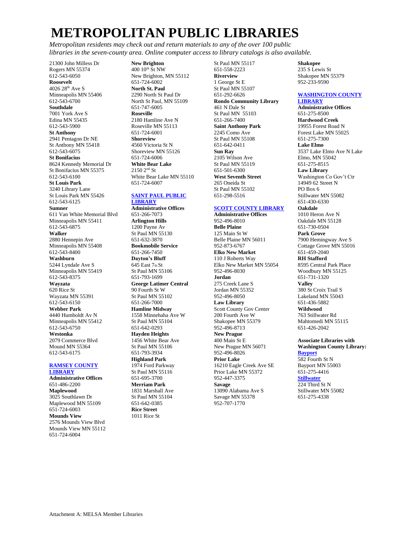# **METROPOLITAN PUBLIC LIBRARIES**

*Metropolitan residents may check out and return materials to any of the over 100 public libraries in the seven-county area. Online computer access to library catalogs is also available.*

21300 John Milless Dr Rogers MN 55374 612-543-6050 **Roosevelt** 4026 28th Ave S Minneapolis MN 55406 612-543-6700 **Southdale** 7001 York Ave S Edina MN 55435 612-543-5900 **St Anthony** 2941 Pentagon Dr NE St Anthony MN 55418 612-543-6075 **St Bonifacius** 8624 Kennedy Memorial Dr St Bonifacius MN 55375 612-543-6100 **St Louis Park** 3240 Library Lane St Louis Park MN 55426 612-543-6125 **Sumner** 611 Van White Memorial Blvd Minneapolis MN 55411 612-543-6875 **Walker** 2880 Hennepin Ave Minneapolis MN 55408 612-543-8400 **Washburn** 5244 Lyndale Ave S Minneapolis MN 55419 612-543-8375 **Wayzata** 620 Rice St Wayzata MN 55391 612-543-6150 **Webber Park** 4440 Humboldt Av N Minneapolis MN 55412 612-543-6750 **Westonka** 2079 Commerce Blvd Mound MN 55364 612-543-6175

#### **[RAMSEY COUNTY](http://www.rclreads.org/)  [LIBRARY](http://www.rclreads.org/)**

**Administrative Offices** 651-486-2200 **Maplewood** 3025 Southlawn Dr Maplewood MN 55109 651-724-6003 **Mounds View** 2576 Mounds View Blvd Mounds View MN 55112 651-724-6004

**New Brighton**  $400\ 10^{th}$  St NW New Brighton, MN 55112 651-724-6002 **North St. Paul** 2290 North St Paul Dr North St Paul, MN 55109 651-747-6005 **Roseville** 2180 Hamline Ave N Roseville MN 55113 651-724-6001 **Shoreview** 4560 Victoria St N Shoreview MN 55126 651-724-6006 **White Bear Lake** 2150 2nd St White Bear Lake MN 55110 651-724-6007

### **[SAINT PAUL PUBLIC](http://www.sppl.org/)  [LIBRARY](http://www.sppl.org/)**

**Administrative Offices** 651-266-7073 **Arlington Hills** 1200 Payne Av St Paul MN 55130 651-632-3870 **Bookmobile Service** 651-266-7450 **Dayton's Bluff** 645 East 7th St St Paul MN 55106 651-793-1699 **George Latimer Central** 90 Fourth St W St Paul MN 55102 651-266-7000 **Hamline Midway** 1558 Minnehaha Ave W St Paul MN 55104 651-642-0293 **Hayden Heights** 1456 White Bear Ave St Paul MN 55106 651-793-3934 **Highland Park** 1974 Ford Parkway St Paul MN 55116 651-695-3700 **Merriam Park** 1831 Marshall Ave St Paul MN 55104 651-642-0385 **Rice Street** 1011 Rice St

651-558-2223 **Riverview** 1 George St E St Paul MN 55107 651-292-6626 **Rondo Community Library** 461 N Dale St St Paul MN 55103 651-266-7400 **Saint Anthony Park** 2245 Como Ave St Paul MN 55108 651-642-0411 **Sun Ray** 2105 Wilson Ave St Paul MN 55119 651-501-6300 **West Seventh Street** 265 Oneida St St Paul MN 55102 651-298-5516

St Paul MN 55117

### **[SCOTT COUNTY LIBRARY](http://www.scottlib.org/)**

**Administrative Offices** 952-496-8010 **Belle Plaine** 125 Main St W Belle Plaine MN 56011 952-873-6767 **Elko New Market** 110 J Roberts Way Elko New Market MN 55054 952-496-8030 **Jordan** 275 Creek Lane S Jordan MN 55352 952-496-8050 **Law Library** Scott County Gov Center 200 Fourth Ave W Shakopee MN 55379 952-496-8713 **New Prague** 400 Main St E New Prague MN 56071 952-496-8026 **Prior Lake** 16210 Eagle Creek Ave SE Prior Lake MN 55372 952-447-3375 **Savage** 13090 Alabama Ave S Savage MN 55378 952-707-1770

**Shakopee** 235 S Lewis St

Shakopee MN 55379 952-233-9590

### **[WASHINGTON COUNTY](http://www.washcolib.org/) [LIBRARY](http://www.washcolib.org/)**

**Administrative Offices** 651-275-8500 **Hardwood Creek** 19955 Forest Road N Forest Lake MN 55025 651-275-7300 **Lake Elmo** 3537 Lake Elmo Ave N Lake Elmo, MN 55042 [651-275-8515](https://www.google.com/search?source=hp&ei=zltWWrfaJMyXjwTCiaCICQ&q=lake+elmo+library+address&oq=lake+elmo+library+address&gs_l=psy-ab.3...2402.13425.0.14789.26.24.0.1.1.0.134.2061.18j6.24.0....0...1c.1.64.psy-ab..1.24.1988.0..0j38j35i39k1j0i131k1j0i20i264k1j0i131i46k1j46i131k1j0i131i20i264k1j0i22i30k1j33i22i29i30k1.0.LN5_Wa4OTX0) **Law Library** Washington Co Gov't Ctr 14949 62 Street N PO Box 6 Stillwater MN 55082 651-430-6330 **Oakdale** 1010 Heron Ave N Oakdale MN 55128 651-730-0504 **Park Grove** 7900 Hemingway Ave S Cottage Grove MN 55016 651-459-2040 **RH Stafford** 8595 Central Park Place Woodbury MN 55125 651-731-1320 **Valley** 380 St Croix Trail S Lakeland MN 55043 651-436-5882 **Wildwood** 763 Stillwater Rd Mahtomedi MN 55115 651-426-2042 **Associate Libraries with Washington County Library: [Bayport](http://www.bayportlibrary.org/)** 582 Fourth St N

Bayport MN 55003 651-275-4416 **[Stillwater](http://www.stillwaterlibrary.org/)** 224 Third St N Stillwater MN 55082 651-275-4338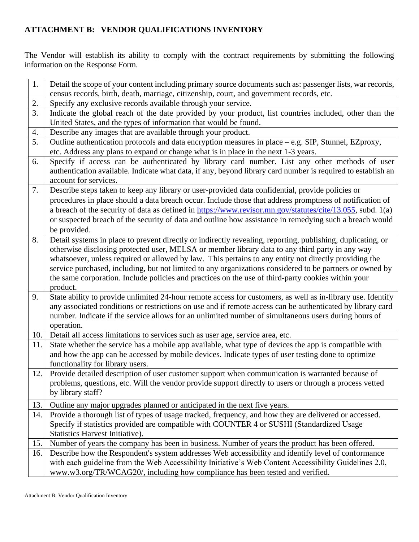## **ATTACHMENT B: VENDOR QUALIFICATIONS INVENTORY**

The Vendor will establish its ability to comply with the contract requirements by submitting the following information on the Response Form.

| 1.               | Detail the scope of your content including primary source documents such as: passenger lists, war records,                                                                                                                                                                                                                                                                                                                                                                                                                                            |
|------------------|-------------------------------------------------------------------------------------------------------------------------------------------------------------------------------------------------------------------------------------------------------------------------------------------------------------------------------------------------------------------------------------------------------------------------------------------------------------------------------------------------------------------------------------------------------|
|                  | census records, birth, death, marriage, citizenship, court, and government records, etc.                                                                                                                                                                                                                                                                                                                                                                                                                                                              |
| 2.               | Specify any exclusive records available through your service.                                                                                                                                                                                                                                                                                                                                                                                                                                                                                         |
| $\overline{3}$ . | Indicate the global reach of the date provided by your product, list countries included, other than the<br>United States, and the types of information that would be found.                                                                                                                                                                                                                                                                                                                                                                           |
| 4.               | Describe any images that are available through your product.                                                                                                                                                                                                                                                                                                                                                                                                                                                                                          |
| 5.               | Outline authentication protocols and data encryption measures in place – e.g. SIP, Stunnel, EZproxy,<br>etc. Address any plans to expand or change what is in place in the next 1-3 years.                                                                                                                                                                                                                                                                                                                                                            |
| 6.               | Specify if access can be authenticated by library card number. List any other methods of user<br>authentication available. Indicate what data, if any, beyond library card number is required to establish an<br>account for services.                                                                                                                                                                                                                                                                                                                |
| 7.               | Describe steps taken to keep any library or user-provided data confidential, provide policies or<br>procedures in place should a data breach occur. Include those that address promptness of notification of<br>a breach of the security of data as defined in https://www.revisor.mn.gov/statutes/cite/13.055, subd. 1(a)<br>or suspected breach of the security of data and outline how assistance in remedying such a breach would<br>be provided.                                                                                                 |
| 8.               | Detail systems in place to prevent directly or indirectly revealing, reporting, publishing, duplicating, or<br>otherwise disclosing protected user, MELSA or member library data to any third party in any way<br>whatsoever, unless required or allowed by law. This pertains to any entity not directly providing the<br>service purchased, including, but not limited to any organizations considered to be partners or owned by<br>the same corporation. Include policies and practices on the use of third-party cookies within your<br>product. |
| 9.               | State ability to provide unlimited 24-hour remote access for customers, as well as in-library use. Identify<br>any associated conditions or restrictions on use and if remote access can be authenticated by library card<br>number. Indicate if the service allows for an unlimited number of simultaneous users during hours of<br>operation.                                                                                                                                                                                                       |
| 10.              | Detail all access limitations to services such as user age, service area, etc.                                                                                                                                                                                                                                                                                                                                                                                                                                                                        |
| 11.              | State whether the service has a mobile app available, what type of devices the app is compatible with<br>and how the app can be accessed by mobile devices. Indicate types of user testing done to optimize<br>functionality for library users.                                                                                                                                                                                                                                                                                                       |
| 12.              | Provide detailed description of user customer support when communication is warranted because of<br>problems, questions, etc. Will the vendor provide support directly to users or through a process vetted<br>by library staff?                                                                                                                                                                                                                                                                                                                      |
| 13.              | Outline any major upgrades planned or anticipated in the next five years.                                                                                                                                                                                                                                                                                                                                                                                                                                                                             |
| 14.              | Provide a thorough list of types of usage tracked, frequency, and how they are delivered or accessed.<br>Specify if statistics provided are compatible with COUNTER 4 or SUSHI (Standardized Usage<br>Statistics Harvest Initiative).                                                                                                                                                                                                                                                                                                                 |
| 15.              | Number of years the company has been in business. Number of years the product has been offered.                                                                                                                                                                                                                                                                                                                                                                                                                                                       |
| 16.              | Describe how the Respondent's system addresses Web accessibility and identify level of conformance<br>with each guideline from the Web Accessibility Initiative's Web Content Accessibility Guidelines 2.0,<br>www.w3.org/TR/WCAG20/, including how compliance has been tested and verified.                                                                                                                                                                                                                                                          |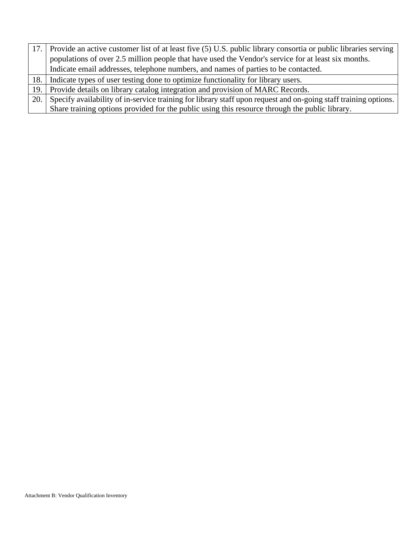|     | 17. Provide an active customer list of at least five (5) U.S. public library consortia or public libraries serving |
|-----|--------------------------------------------------------------------------------------------------------------------|
|     | populations of over 2.5 million people that have used the Vendor's service for at least six months.                |
|     | Indicate email addresses, telephone numbers, and names of parties to be contacted.                                 |
|     | 18. Indicate types of user testing done to optimize functionality for library users.                               |
|     | 19. Provide details on library catalog integration and provision of MARC Records.                                  |
| 20. | Specify availability of in-service training for library staff upon request and on-going staff training options.    |
|     | Share training options provided for the public using this resource through the public library.                     |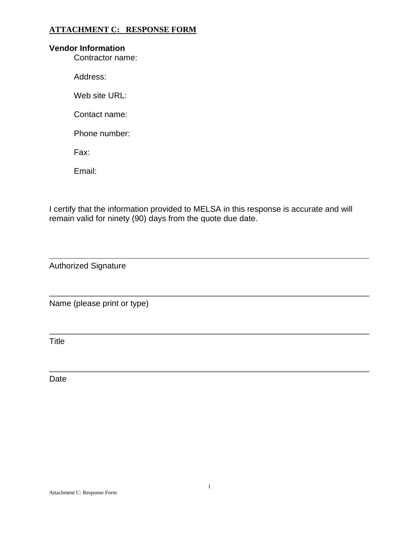## **ATTACHMENT C: RESPONSE FORM**

## **Vendor Information**

Contractor name:

Address:

Web site URL:

Contact name:

Phone number:

Fax:

Email:

I certify that the information provided to MELSA in this response is accurate and will remain valid for ninety (90) days from the quote due date.

Authorized Signature

Name (please print or type)

**Title** 

Date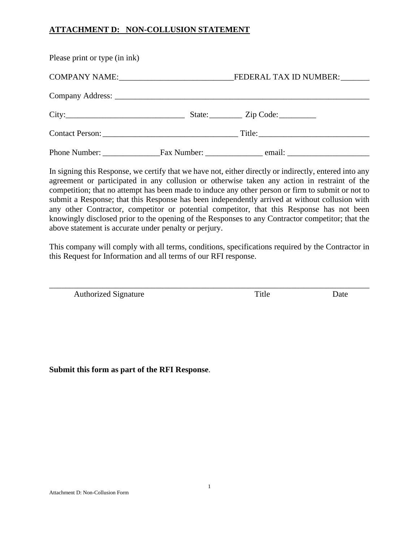## **ATTACHMENT D: NON-COLLUSION STATEMENT**

| Please print or type (in ink)                                                                                                                                                                                                 |                               |
|-------------------------------------------------------------------------------------------------------------------------------------------------------------------------------------------------------------------------------|-------------------------------|
|                                                                                                                                                                                                                               |                               |
|                                                                                                                                                                                                                               |                               |
| City: City: City: City: City: City: City: City: City: City: City: City: City: City: City: City: City: City: City: City: City: City: City: City: City: City: City: City: City: City: City: City: City: City: City: City: City: |                               |
|                                                                                                                                                                                                                               | Contact Person: Title: Title: |
|                                                                                                                                                                                                                               |                               |

In signing this Response, we certify that we have not, either directly or indirectly, entered into any agreement or participated in any collusion or otherwise taken any action in restraint of the competition; that no attempt has been made to induce any other person or firm to submit or not to submit a Response; that this Response has been independently arrived at without collusion with any other Contractor, competitor or potential competitor, that this Response has not been knowingly disclosed prior to the opening of the Responses to any Contractor competitor; that the above statement is accurate under penalty or perjury.

This company will comply with all terms, conditions, specifications required by the Contractor in this Request for Information and all terms of our RFI response.

\_\_\_\_\_\_\_\_\_\_\_\_\_\_\_\_\_\_\_\_\_\_\_\_\_\_\_\_\_\_\_\_\_\_\_\_\_\_\_\_\_\_\_\_\_\_\_\_\_\_\_\_\_\_\_\_\_\_\_\_\_\_\_\_\_\_\_\_\_\_\_\_\_\_\_\_\_\_

Authorized Signature Title Date

**Submit this form as part of the RFI Response**.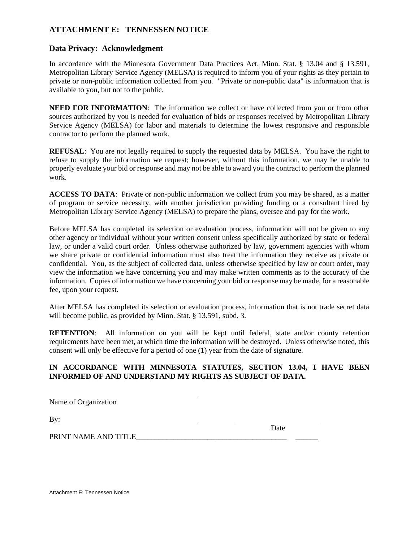## **ATTACHMENT E: TENNESSEN NOTICE**

### **Data Privacy: Acknowledgment**

In accordance with the Minnesota Government Data Practices Act, Minn. Stat. § 13.04 and § 13.591, Metropolitan Library Service Agency (MELSA) is required to inform you of your rights as they pertain to private or non-public information collected from you. "Private or non-public data" is information that is available to you, but not to the public.

**NEED FOR INFORMATION:** The information we collect or have collected from you or from other sources authorized by you is needed for evaluation of bids or responses received by Metropolitan Library Service Agency (MELSA) for labor and materials to determine the lowest responsive and responsible contractor to perform the planned work.

**REFUSAL:** You are not legally required to supply the requested data by MELSA. You have the right to refuse to supply the information we request; however, without this information, we may be unable to properly evaluate your bid or response and may not be able to award you the contract to perform the planned work.

**ACCESS TO DATA**: Private or non-public information we collect from you may be shared, as a matter of program or service necessity, with another jurisdiction providing funding or a consultant hired by Metropolitan Library Service Agency (MELSA) to prepare the plans, oversee and pay for the work.

Before MELSA has completed its selection or evaluation process, information will not be given to any other agency or individual without your written consent unless specifically authorized by state or federal law, or under a valid court order. Unless otherwise authorized by law, government agencies with whom we share private or confidential information must also treat the information they receive as private or confidential. You, as the subject of collected data, unless otherwise specified by law or court order, may view the information we have concerning you and may make written comments as to the accuracy of the information. Copies of information we have concerning your bid or response may be made, for a reasonable fee, upon your request.

After MELSA has completed its selection or evaluation process, information that is not trade secret data will become public, as provided by Minn. Stat. § 13.591, subd. 3.

**RETENTION:** All information on you will be kept until federal, state and/or county retention requirements have been met, at which time the information will be destroyed. Unless otherwise noted, this consent will only be effective for a period of one (1) year from the date of signature.

## **IN ACCORDANCE WITH MINNESOTA STATUTES, SECTION 13.04, I HAVE BEEN INFORMED OF AND UNDERSTAND MY RIGHTS AS SUBJECT OF DATA.**

Name of Organization

By:

PRINT NAME AND TITLE

Date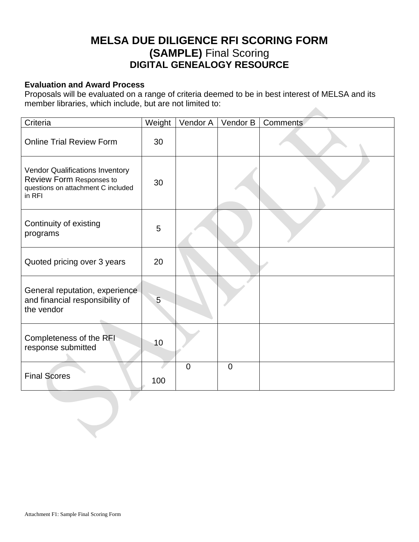# **MELSA DUE DILIGENCE RFI SCORING FORM (SAMPLE)** Final Scoring **DIGITAL GENEALOGY RESOURCE**

## **Evaluation and Award Process**

Proposals will be evaluated on a range of criteria deemed to be in best interest of MELSA and its member libraries, which include, but are not limited to: 

| Criteria                                                                                                           | Weight | Vendor A    | Vendor B    | Comments |
|--------------------------------------------------------------------------------------------------------------------|--------|-------------|-------------|----------|
| <b>Online Trial Review Form</b>                                                                                    | 30     |             |             |          |
| <b>Vendor Qualifications Inventory</b><br>Review Form Responses to<br>questions on attachment C included<br>in RFI | 30     |             |             |          |
| Continuity of existing<br>programs                                                                                 | 5      |             |             |          |
| Quoted pricing over 3 years                                                                                        | 20     |             |             |          |
| General reputation, experience<br>and financial responsibility of<br>the vendor                                    | 5      |             |             |          |
| Completeness of the RFI<br>response submitted                                                                      | 10     |             |             |          |
| <b>Final Scores</b>                                                                                                | 100    | $\mathbf 0$ | $\mathbf 0$ |          |
|                                                                                                                    |        |             |             |          |

 $\bigcup$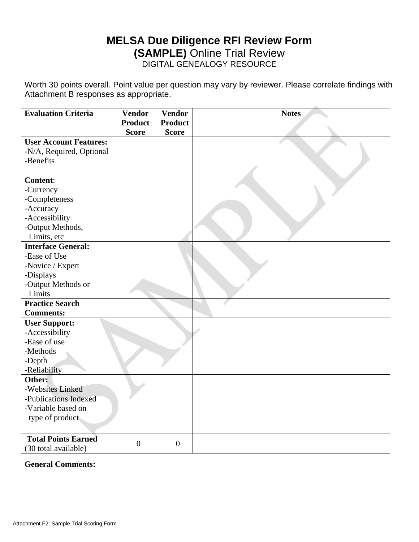## **MELSA Due Diligence RFI Review Form (SAMPLE)** Online Trial Review DIGITAL GENEALOGY RESOURCE

Worth 30 points overall. Point value per question may vary by reviewer. Please correlate findings with Attachment B responses as appropriate.

| <b>Evaluation Criteria</b>    | <b>Vendor</b><br><b>Product</b> | <b>Vendor</b><br><b>Product</b> | <b>Notes</b> |
|-------------------------------|---------------------------------|---------------------------------|--------------|
|                               | <b>Score</b>                    | <b>Score</b>                    |              |
| <b>User Account Features:</b> |                                 |                                 |              |
| -N/A, Required, Optional      |                                 |                                 |              |
| -Benefits                     |                                 |                                 |              |
| <b>Content:</b>               |                                 |                                 |              |
| -Currency                     |                                 |                                 |              |
| -Completeness                 |                                 |                                 |              |
| -Accuracy                     |                                 |                                 |              |
| -Accessibility                |                                 |                                 |              |
| -Output Methods,              |                                 |                                 |              |
| Limits, etc                   |                                 |                                 |              |
| <b>Interface General:</b>     |                                 |                                 |              |
| -Ease of Use                  |                                 |                                 |              |
| -Novice / Expert              |                                 |                                 |              |
| -Displays                     |                                 |                                 |              |
| -Output Methods or            |                                 |                                 |              |
| Limits                        |                                 |                                 |              |
| <b>Practice Search</b>        |                                 |                                 |              |
| <b>Comments:</b>              |                                 |                                 |              |
| <b>User Support:</b>          |                                 |                                 |              |
| -Accessibility                |                                 |                                 |              |
| -Ease of use                  |                                 |                                 |              |
| -Methods                      |                                 |                                 |              |
| -Depth                        |                                 |                                 |              |
| -Reliability                  |                                 |                                 |              |
| Other:                        |                                 |                                 |              |
| -Websites Linked              |                                 |                                 |              |
| -Publications Indexed         |                                 |                                 |              |
| -Variable based on            |                                 |                                 |              |
| type of product               |                                 |                                 |              |
|                               |                                 |                                 |              |
| <b>Total Points Earned</b>    |                                 |                                 |              |
| (30 total available)          | $\overline{0}$                  | $\overline{0}$                  |              |

**General Comments:**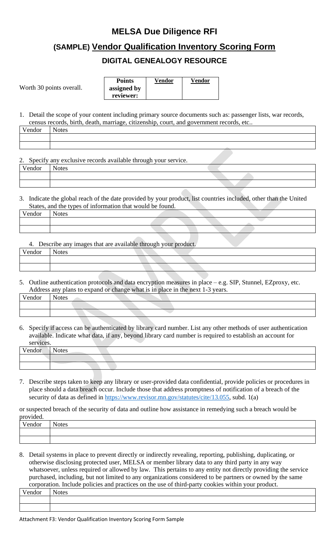# **MELSA Due Diligence RFI**

# **(SAMPLE) Vendor Qualification Inventory Scoring Form**

## **DIGITAL GENEALOGY RESOURCE**

Worth 30 points overall.

| <b>Points</b> | Vendor | Vendor |
|---------------|--------|--------|
| assigned by   |        |        |
| reviewer:     |        |        |

1. Detail the scope of your content including primary source documents such as: passenger lists, war records, census records, birth, death, marriage, citizenship, court, and government records, etc..

| <b>Contract Contract</b> |
|--------------------------|

2. Specify any exclusive records available through your service.

| Vendor | otes |
|--------|------|
|        |      |
|        |      |

3. Indicate the global reach of the date provided by your product, list countries included, other than the United States, and the types of information that would be found.

| Vendor | $-$<br><b>Notes</b> |                                   |  |  |
|--------|---------------------|-----------------------------------|--|--|
|        |                     |                                   |  |  |
|        |                     |                                   |  |  |
|        |                     | <b>Contract Contract Contract</b> |  |  |

4. Describe any images that are available through your product.

| Vendor | $\mathbf{r}$<br><b>Notes</b> |  |
|--------|------------------------------|--|
|        |                              |  |
|        |                              |  |

5. Outline authentication protocols and data encryption measures in place – e.g. SIP, Stunnel, EZproxy, etc. Address any plans to expand or change what is in place in the next 1-3 years.

| $U_{\alpha n}$ d $_{\alpha n}$<br>endor | `+^<br>ເຣຣ |  |  |  |
|-----------------------------------------|------------|--|--|--|
|                                         |            |  |  |  |
|                                         |            |  |  |  |

6. Specify if access can be authenticated by library card number. List any other methods of user authentication available. Indicate what data, if any, beyond library card number is required to establish an account for services.

| $V$ ondor<br>паог |  |
|-------------------|--|
|                   |  |
|                   |  |

7. Describe steps taken to keep any library or user-provided data confidential, provide policies or procedures in place should a data breach occur. Include those that address promptness of notification of a breach of the security of data as defined in [https://www.revisor.mn.gov/statutes/cite/13.055,](https://www.revisor.mn.gov/statutes/cite/13.055) subd. 1(a)

or suspected breach of the security of data and outline how assistance in remedying such a breach would be provided.

| provided. |                              |
|-----------|------------------------------|
| Vendor    | $\mathbf{r}$<br><b>Notes</b> |
|           |                              |
|           |                              |

8. Detail systems in place to prevent directly or indirectly revealing, reporting, publishing, duplicating, or otherwise disclosing protected user, MELSA or member library data to any third party in any way whatsoever, unless required or allowed by law. This pertains to any entity not directly providing the service purchased, including, but not limited to any organizations considered to be partners or owned by the same corporation. Include policies and practices on the use of third-party cookies within your product.

| $\mathbf{v}$<br> |  |
|------------------|--|
|                  |  |
|                  |  |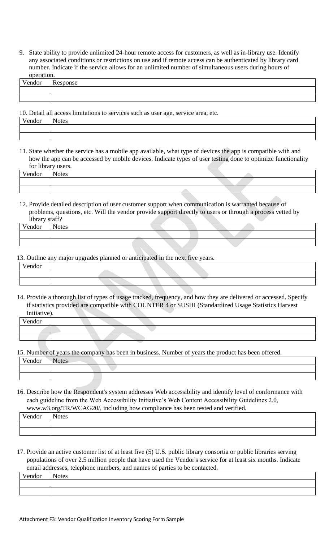9. State ability to provide unlimited 24-hour remote access for customers, as well as in-library use. Identify any associated conditions or restrictions on use and if remote access can be authenticated by library card number. Indicate if the service allows for an unlimited number of simultaneous users during hours of operation.

| 0000000000000              |                |
|----------------------------|----------------|
| $ -$<br>$\sim$<br>مد بعد ا | אר ו<br>$\sim$ |
|                            |                |
|                            |                |

10. Detail all access limitations to services such as user age, service area, etc.

| . |  |
|---|--|
|   |  |
|   |  |

11. State whether the service has a mobile app available, what type of devices the app is compatible with and how the app can be accessed by mobile devices. Indicate types of user testing done to optimize functionality for library users.

| $\mathbf{v}$<br>/endor | $\sim$ $\sim$<br>r<br>.0022<br>«ت |  |
|------------------------|-----------------------------------|--|
|                        |                                   |  |
|                        |                                   |  |

12. Provide detailed description of user customer support when communication is warranted because of problems, questions, etc. Will the vendor provide support directly to users or through a process vetted by library staff?

| Vendor | - -<br>Notes |  |  |  |
|--------|--------------|--|--|--|
|        |              |  |  |  |
|        |              |  |  |  |

13. Outline any major upgrades planned or anticipated in the next five years.

| T<br>Vendor |  |
|-------------|--|
|             |  |
|             |  |

14. Provide a thorough list of types of usage tracked, frequency, and how they are delivered or accessed. Specify if statistics provided are compatible with COUNTER 4 or SUSHI (Standardized Usage Statistics Harvest Initiative).

| $- -$<br>Vendor |  |
|-----------------|--|
|                 |  |
|                 |  |

15. Number of years the company has been in business. Number of years the product has been offered.

16. Describe how the Respondent's system addresses Web accessibility and identify level of conformance with each guideline from the Web Accessibility Initiative's Web Content Accessibility Guidelines 2.0, [www.w3.org/TR/WCAG20/,](http://www.w3.org/TR/WCAG20/) including how compliance has been tested and verified.

| Vendor | <b>Notes</b> |
|--------|--------------|
|        |              |
|        |              |

17. Provide an active customer list of at least five (5) U.S. public library consortia or public libraries serving populations of over 2.5 million people that have used the Vendor's service for at least six months. Indicate email addresses, telephone numbers, and names of parties to be contacted.

| Vendor | $\mathbf{r}$<br><b>Notes</b> |
|--------|------------------------------|
|        |                              |
|        |                              |